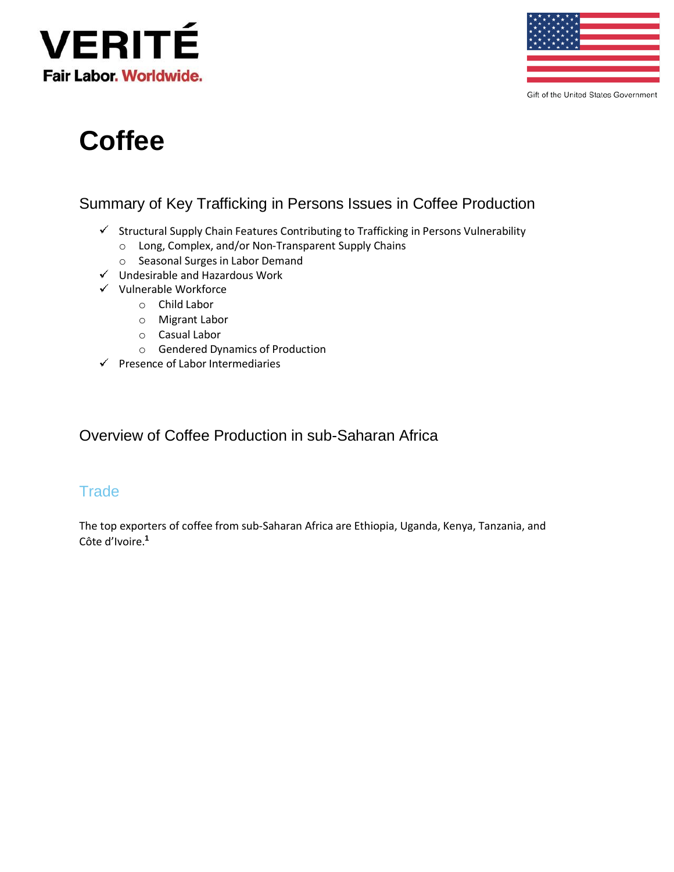



Gift of the United States Government

# **Coffee**

## Summary of Key Trafficking in Persons Issues in Coffee Production

- $\checkmark$  Structural Supply Chain Features Contributing to Trafficking in Persons Vulnerability
	- o Long, Complex, and/or Non-Transparent Supply Chains
	- o Seasonal Surges in Labor Demand
- $\checkmark$  Undesirable and Hazardous Work
- $\checkmark$  Vulnerable Workforce
	- o Child Labor
	- o Migrant Labor
	- o Casual Labor
	- o Gendered Dynamics of Production
- $\checkmark$  Presence of Labor Intermediaries

### Overview of Coffee Production in sub-Saharan Africa

#### **Trade**

The top exporters of coffee from sub-Saharan Africa are Ethiopia, Uganda, Kenya, Tanzania, and Côte d'Ivoire[.](#page-11-0) **1**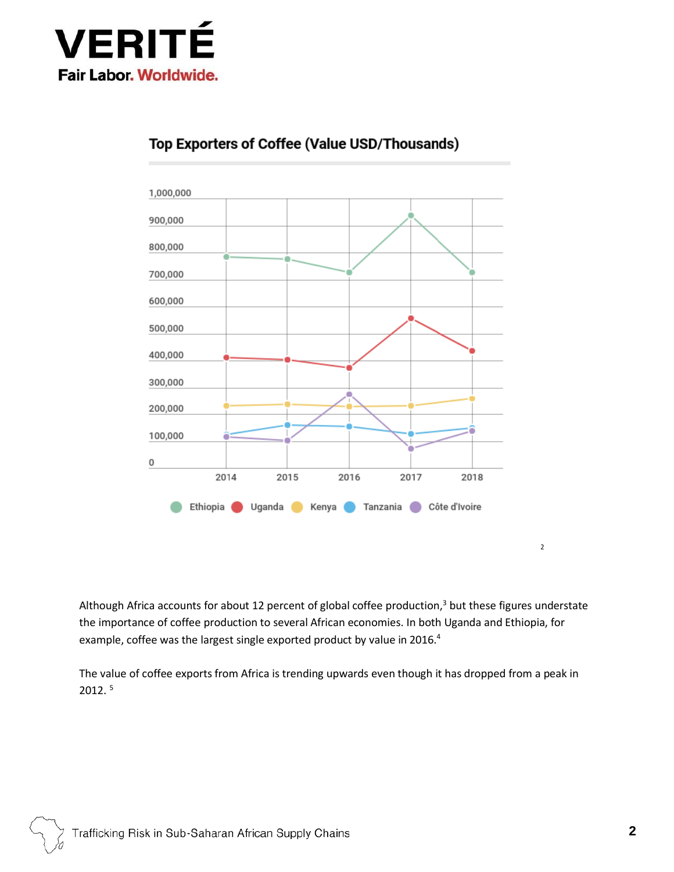



### Top Exporters of Coffee (Value USD/Thousands)

Although Africa accounts for about 12 percent of global coffee production[,](#page-11-2) $3$  but these figures understate the importance of coffee production to several African economies. In both Uganda and Ethiopia, for example, coffee was the largest single exported product by value in 2016.<sup>[4](#page-11-3)</sup>

The value of coffee exports from Africa is trending upwards even though it has dropped from a peak in 2012. [5](#page-11-4)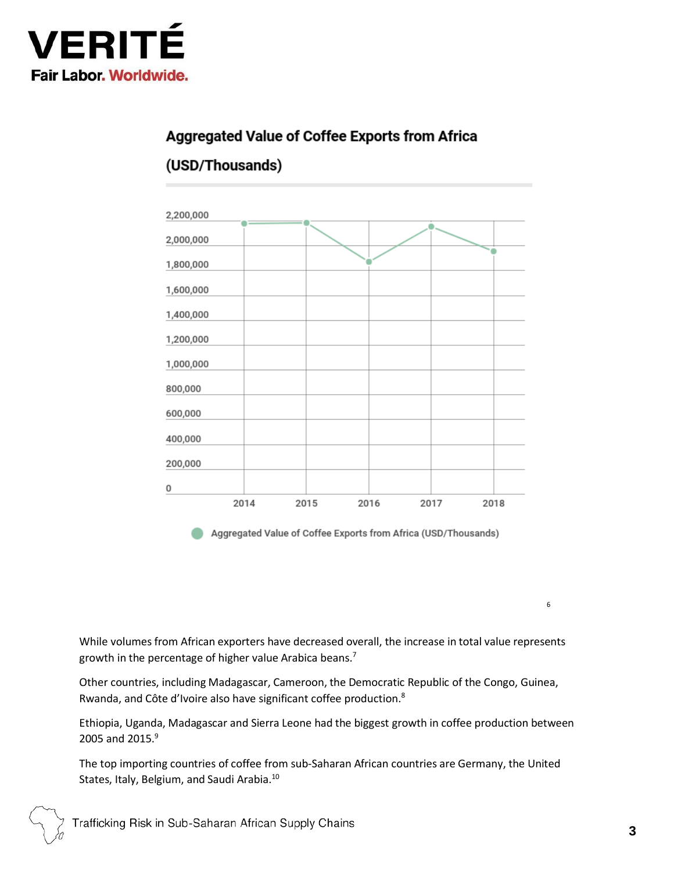

## Aggregated Value of Coffee Exports from Africa

## (USD/Thousands)



Aggregated Value of Coffee Exports from Africa (USD/Thousands)

While volumes from African exporters have decreased overall, the increase in total value represents growth in the percentage of higher value Arabica beans[.](#page-11-6)<sup>7</sup>

Other countries, including Madagascar, Cameroon, the Democratic Republic of the Congo, Guinea, Rwanda, and Côte d'Ivoire also have significant coffee production[.](#page-11-7)<sup>8</sup>

Ethiopia, Uganda, Madagascar and Sierra Leone had the biggest growth in coffee production between 2005 and 2015[.](#page-11-8)<sup>9</sup>

The top importing countries of coffee from sub-Saharan African countries are Germany, the United States, Italy, Belgium, and Saudi Arabia.[10](#page-11-9)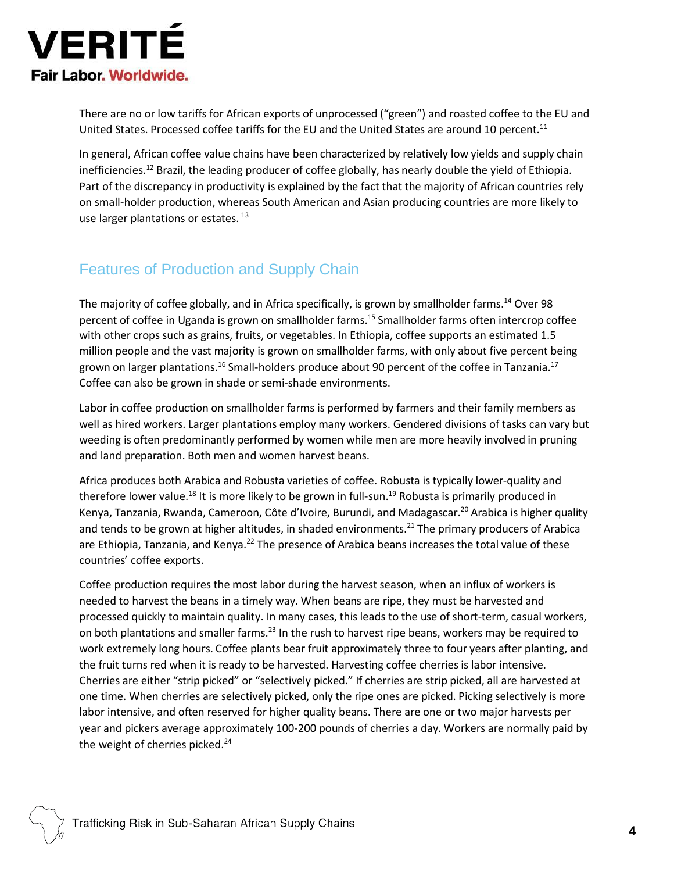

There are no or low tariffs for African exports of unprocessed ("green") and roasted coffee to the EU and United States. Processed coffee tariffs for the EU and the United States are around 10 percent.<sup>[11](#page-11-10)</sup>

In general, African coffee value chains have been characterized by relatively low yields and supply chain inefficiencies.[12](#page-11-11) Brazil, the leading producer of coffee globally, has nearly double the yield of Ethiopia. Part of the discrepancy in productivity is explained by the fact that the majority of African countries rely on small-holder production, whereas South American and Asian producing countries are more likely to use larger plantations or estates.<sup>[13](#page-11-12)</sup>

## Features of Production and Supply Chain

The majority of coffee globally, and in Africa specifically, is grown by smallholder farms.<sup>[14](#page-11-13)</sup> Over 98 percent of coffee in Uganda is grown on smallholder farms.<sup>[15](#page-11-14)</sup> Smallholder farms often intercrop coffee with other crops such as grains, fruits, or vegetables. In Ethiopia, coffee supports an estimated 1.5 million people and the vast majority is grown on smallholder farms, with only about five percent being grown on larger plantations.<sup>[16](#page-11-15)</sup> Small-holders produce about 90 percent of the coffee in Tanzania.<sup>[17](#page-11-16)</sup> Coffee can also be grown in shade or semi-shade environments.

Labor in coffee production on smallholder farms is performed by farmers and their family members as well as hired workers. Larger plantations employ many workers. Gendered divisions of tasks can vary but weeding is often predominantly performed by women while men are more heavily involved in pruning and land preparation. Both men and women harvest beans.

Africa produces both Arabica and Robusta varieties of coffee. Robusta is typically lower-quality and therefore lower value.<sup>[18](#page-11-17)</sup> It is more likely to be grown in full-sun.<sup>[19](#page-11-18)</sup> Robusta is primarily produced in Kenya, Tanzania, Rwanda, Cameroon, Côte d'Ivoire, Burundi, and Madagascar.<sup>[20](#page-11-19)</sup> Arabica is higher quality and tends to be grown at higher altitudes, in shaded environments.<sup>[21](#page-11-20)</sup> The primary producers of Arabica are Ethiopia, Tanzania, and Kenya.<sup>[22](#page-11-21)</sup> The presence of Arabica beans increases the total value of these countries' coffee exports.

Coffee production requires the most labor during the harvest season, when an influx of workers is needed to harvest the beans in a timely way. When beans are ripe, they must be harvested and processed quickly to maintain quality. In many cases, this leads to the use of short-term, casual workers, on both plantations and smaller farms.<sup>[23](#page-11-22)</sup> In the rush to harvest ripe beans, workers may be required to work extremely long hours. Coffee plants bear fruit approximately three to four years after planting, and the fruit turns red when it is ready to be harvested. Harvesting coffee cherries is labor intensive. Cherries are either "strip picked" or "selectively picked." If cherries are strip picked, all are harvested at one time. When cherries are selectively picked, only the ripe ones are picked. Picking selectively is more labor intensive, and often reserved for higher quality beans. There are one or two major harvests per year and pickers average approximately 100-200 pounds of cherries a day. Workers are normally paid by the weight of cherries picked.<sup>[24](#page-11-23)</sup>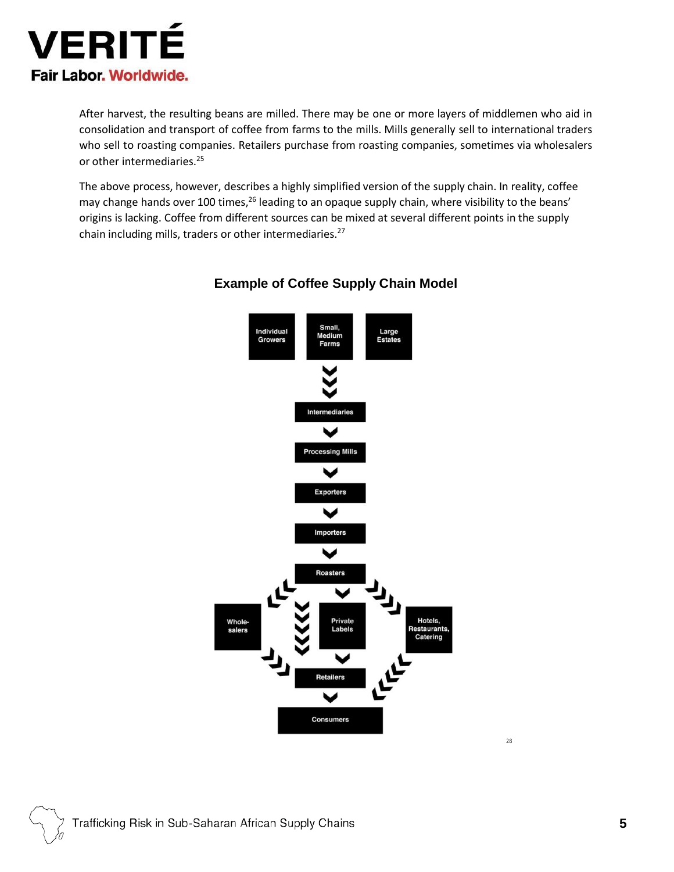

After harvest, the resulting beans are milled. There may be one or more layers of middlemen who aid in consolidation and transport of coffee from farms to the mills. Mills generally sell to international traders who sell to roasting companies. Retailers purchase from roasting companies, sometimes via wholesalers or other intermediaries.<sup>[25](#page-11-24)</sup>

The above process, however, describes a highly simplified version of the supply chain. In reality, coffee may change hands over 100 times,<sup>[26](#page-11-25)</sup> leading to an opaque supply chain, where visibility to the beans' origins is lacking. Coffee from different sources can be mixed at several different points in the supply chain including mills, traders or other intermediaries.<sup>[27](#page-12-0)</sup>



#### **Example of Coffee Supply Chain Model**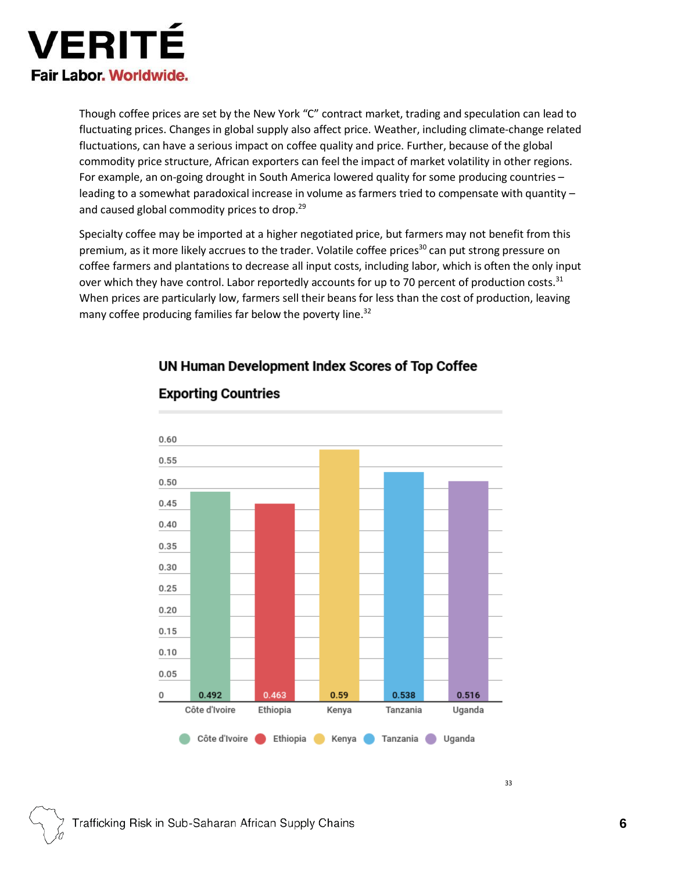

Though coffee prices are set by the New York "C" contract market, trading and speculation can lead to fluctuating prices. Changes in global supply also affect price. Weather, including climate-change related fluctuations, can have a serious impact on coffee quality and price. Further, because of the global commodity price structure, African exporters can feel the impact of market volatility in other regions. For example, an on-going drought in South America lowered quality for some producing countries – leading to a somewhat paradoxical increase in volume as farmers tried to compensate with quantity – and caused global commodity prices to drop.<sup>[29](#page-12-2)</sup>

Specialty coffee may be imported at a higher negotiated price, but farmers may not benefit from this premium, as it more likely accrues to the trader. Volatile coffee prices<sup>[30](#page-12-3)</sup> can put strong pressure on coffee farmers and plantations to decrease all input costs, including labor, which is often the only input over which they have control. Labor reportedly accounts for up to 70 percent of production costs.<sup>[31](#page-12-0)</sup> When prices are particularly low, farmers sell their beans for less than the cost of production, leaving many coffee producing families far below the poverty line.<sup>[32](#page-12-0)</sup>

UN Human Development Index Scores of Top Coffee



## **Exporting Countries**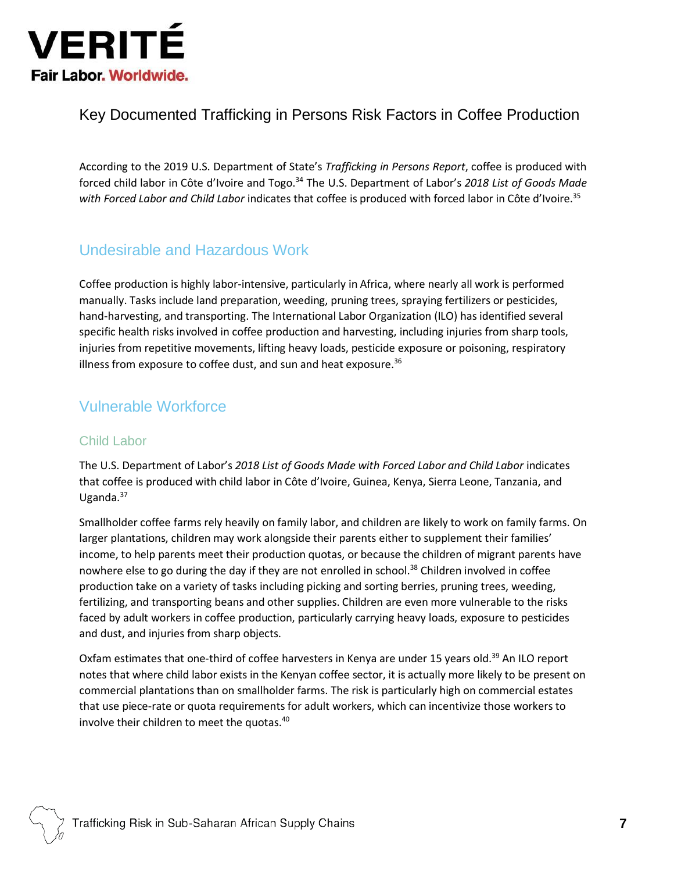

## Key Documented Trafficking in Persons Risk Factors in Coffee Production

According to the 2019 U.S. Department of State's *Trafficking in Persons Report*, coffee is produced with forced child labor in Côte d'Ivoire and Togo.[34](#page-12-0) The U.S. Department of Labor's *2018 List of Goods Made with Forced Labor and Child Labor* indicates that coffee is produced with forced labor in Côte d'Ivoire.[35](#page-12-0)

## Undesirable and Hazardous Work

Coffee production is highly labor-intensive, particularly in Africa, where nearly all work is performed manually. Tasks include land preparation, weeding, pruning trees, spraying fertilizers or pesticides, hand-harvesting, and transporting. The International Labor Organization (ILO) has identified several specific health risks involved in coffee production and harvesting, including injuries from sharp tools, injuries from repetitive movements, lifting heavy loads, pesticide exposure or poisoning, respiratory illness from exposure to coffee dust, and sun and heat exposure. $36$ 

## Vulnerable Workforce

#### Child Labor

The U.S. Department of Labor's *2018 List of Goods Made with Forced Labor and Child Labor* indicates that coffee is produced with child labor in Côte d'Ivoire, Guinea, Kenya, Sierra Leone, Tanzania, and Uganda. $37$ 

Smallholder coffee farms rely heavily on family labor, and children are likely to work on family farms. On larger plantations, children may work alongside their parents either to supplement their families' income, to help parents meet their production quotas, or because the children of migrant parents have nowhere else to go during the day if they are not enrolled in school.<sup>[38](#page-12-0)</sup> Children involved in coffee production take on a variety of tasks including picking and sorting berries, pruning trees, weeding, fertilizing, and transporting beans and other supplies. Children are even more vulnerable to the risks faced by adult workers in coffee production, particularly carrying heavy loads, exposure to pesticides and dust, and injuries from sharp objects.

Oxfam estimates that one-third of coffee harvesters in Kenya are under 15 years old.<sup>[39](#page-12-0)</sup> An ILO report notes that where child labor exists in the Kenyan coffee sector, it is actually more likely to be present on commercial plantations than on smallholder farms. The risk is particularly high on commercial estates that use piece-rate or quota requirements for adult workers, which can incentivize those workers to involve their children to meet the quotas.<sup>[40](#page-12-0)</sup>

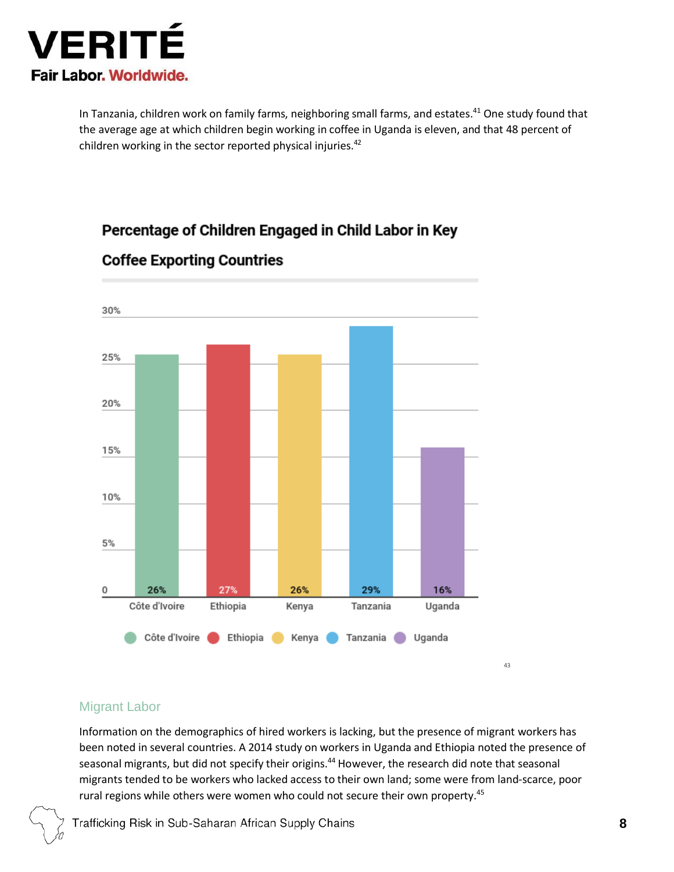

In Tanzania, children work on family farms, neighboring small farms, and estates.<sup>[41](#page-12-0)</sup> One study found that the average age at which children begin working in coffee in Uganda is eleven, and that 48 percent of children working in the sector reported physical injuries.<sup>[42](#page-12-0)</sup>

## Percentage of Children Engaged in Child Labor in Key



### **Coffee Exporting Countries**

#### Migrant Labor

Information on the demographics of hired workers is lacking, but the presence of migrant workers has been noted in several countries. A 2014 study on workers in Uganda and Ethiopia noted the presence of seasonal migrants, but did not specify their origins.<sup>[44](#page-12-0)</sup> However, the research did note that seasonal migrants tended to be workers who lacked access to their own land; some were from land-scarce, poor rural regions while others were women who could not secure their own property.<sup>[45](#page-12-0)</sup>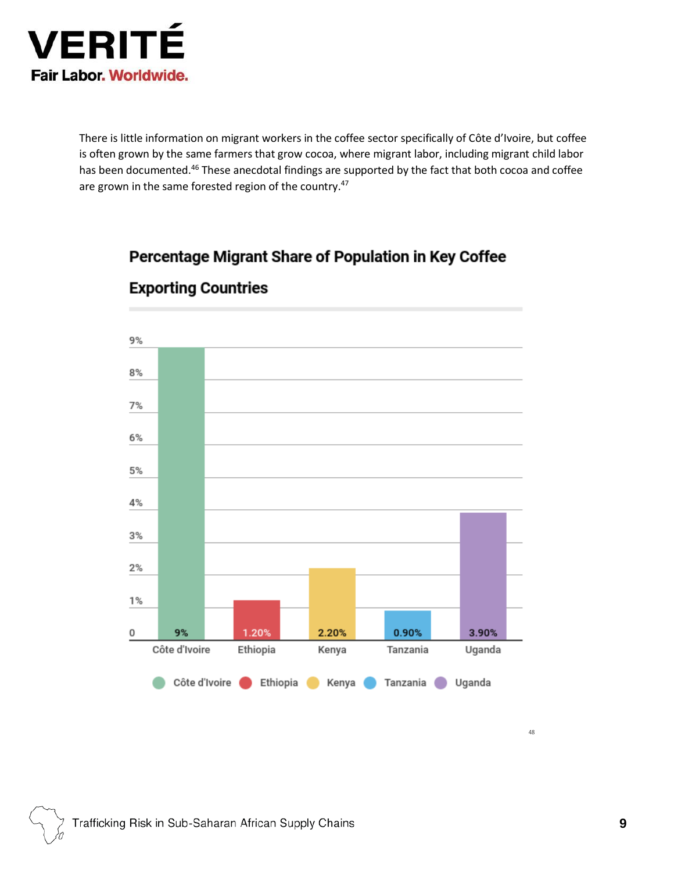

There is little information on migrant workers in the coffee sector specifically of Côte d'Ivoire, but coffee is often grown by the same farmers that grow cocoa, where migrant labor, including migrant child labor has been documented.<sup>[46](#page-12-0)</sup> These anecdotal findings are supported by the fact that both cocoa and coffee are grown in the same forested region of the country.<sup>[47](#page-12-0)</sup>

## Percentage Migrant Share of Population in Key Coffee



## **Exporting Countries**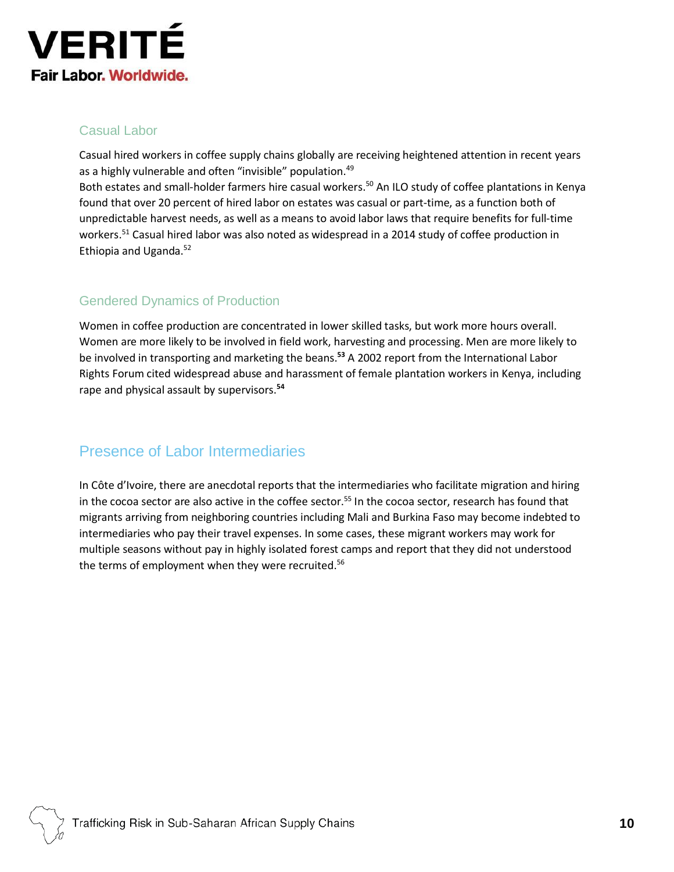

#### Casual Labor

Casual hired workers in coffee supply chains globally are receiving heightened attention in recent years as a highly vulnerable and often "invisible" population.<sup>[49](#page-12-0)</sup>

Both estates and small-holder farmers hire casual workers.<sup>[50](#page-12-0)</sup> An ILO study of coffee plantations in Kenya found that over 20 percent of hired labor on estates was casual or part-time, as a function both of unpredictable harvest needs, as well as a means to avoid labor laws that require benefits for full-time workers.[51](#page-12-0) Casual hired labor was also noted as widespread in a 2014 study of coffee production in Ethiopia and Uganda.[52](#page-12-0)

#### Gendered Dynamics of Production

Women in coffee production are concentrated in lower skilled tasks, but work more hours overall. Women are more likely to be involved in field work, harvesting and processing. Men are more likely to be involved in transporting and marketing the beans.**[53](#page-12-0)** A 2002 report from the International Labor Rights Forum cited widespread abuse and harassment of female plantation workers in Kenya, including rape and physical assault by supervisors.**[54](#page-12-0)**

## Presence of Labor Intermediaries

In Côte d'Ivoire, there are anecdotal reports that the intermediaries who facilitate migration and hiring in the cocoa sector are also active in the coffee sector.<sup>[55](#page-12-4)</sup> In the cocoa sector, research has found that migrants arriving from neighboring countries including Mali and Burkina Faso may become indebted to intermediaries who pay their travel expenses. In some cases, these migrant workers may work for multiple seasons without pay in highly isolated forest camps and report that they did not understood the terms of employment when they were recruited.<sup>[56](#page-12-5)</sup>

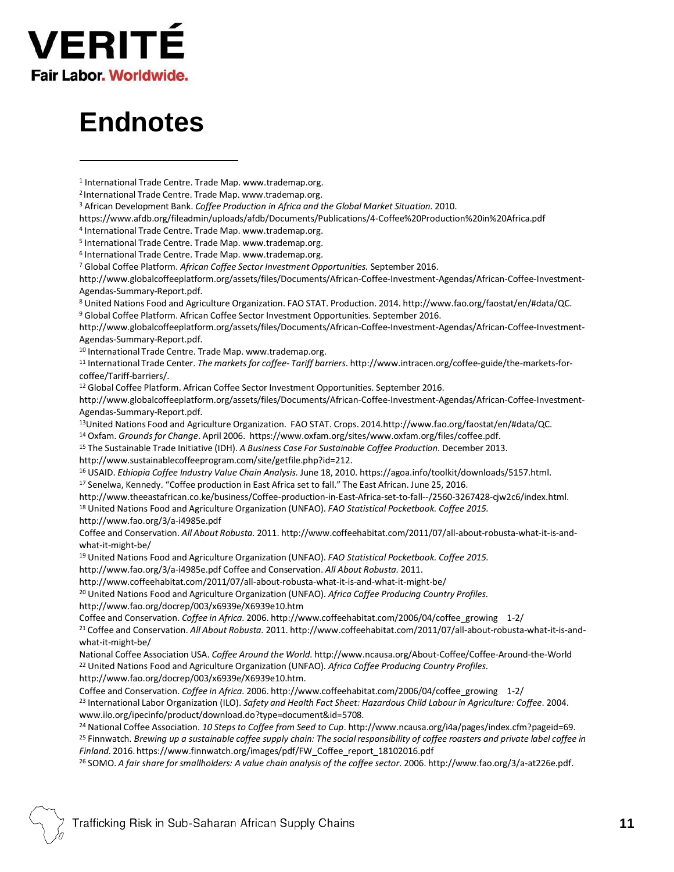

## **Endnotes**

- https:/[/www.afdb.org/fileadmin/uploads/afdb/Documents/Publications/4-Coffee%20Production%20in%20Africa.pdf](http://www.afdb.org/fileadmin/uploads/afdb/Documents/Publications/4-Coffee%20Production%20in%20Africa.pdf)
- 4 International Trade Centre. Trade Map. [www.trademap.org.](http://www.trademap.org/)
- 5 International Trade Centre. Trade Map. [www.trademap.org.](http://www.trademap.org/)
- 6 International Trade Centre. Trade Map. [www.trademap.org.](http://www.trademap.org/)

<sup>7</sup> Global Coffee Platform. *African Coffee Sector Investment Opportunities.* September 2016.

<http://www.globalcoffeeplatform.org/assets/files/Documents/African-Coffee-Investment-Agendas/African-Coffee-Investment->Agendas-Summary-Report.pdf.

<sup>8</sup> United Nations Food and Agriculture Organization. FAO STAT. Production. 2014. [http://www.fao.org/faostat/en/#data/QC.](http://www.fao.org/faostat/en/%23data/QC)

<sup>9</sup> Global Coffee Platform. African Coffee Sector Investment Opportunities. September 2016.

<http://www.globalcoffeeplatform.org/assets/files/Documents/African-Coffee-Investment-Agendas/African-Coffee-Investment->Agendas-Summary-Report.pdf.

<sup>10</sup> International Trade Centre. Trade Map. [www.trademap.org.](http://www.trademap.org/)

<sup>11</sup> International Trade Center. *The markets for coffee- Tariff barriers*. [http://www.intracen.org/coffee-guide/the-markets-for](http://www.intracen.org/coffee-guide/the-markets-for-)coffee/Tariff-barriers/.

<sup>12</sup> Global Coffee Platform. African Coffee Sector Investment Opportunities. September 201[6.](http://www.globalcoffeeplatform.org/assets/files/Documents/African-Coffee-Investment-Agendas/African-Coffee-Investment-)

<http://www.globalcoffeeplatform.org/assets/files/Documents/African-Coffee-Investment-Agendas/African-Coffee-Investment->Agendas-Summary-Report.pdf.

<sup>13</sup>United Nations Food and Agriculture Organization. FAO STAT. Crops. 2014[.http://www.fao.org/faostat/en/#data/QC.](http://www.fao.org/faostat/en/%23data/QC)

<sup>14</sup> Oxfam. *Grounds for Change*. April 2006. http[s://www.oxfam.org/sites/www.oxfam.org/files/coffee.pdf.](http://www.oxfam.org/sites/www.oxfam.org/files/coffee.pdf)

<sup>15</sup> The Sustainable Trade Initiative (IDH). *A Business Case For Sustainable Coffee Production.* December 2013.

[http://www.sustainablecoffeeprogram.com/site/getfile.php?id=212.](http://www.sustainablecoffeeprogram.com/site/getfile.php?id=212)

<sup>16</sup> USAID. *Ethiopia Coffee Industry Value Chain Analysis.* June 18, 2010. https://agoa.info/toolkit/downloads/5157.html.

<sup>17</sup> Senelwa, Kennedy. "Coffee production in East Africa set to fall." The East African. June 25, 201[6.](http://www.theeastafrican.co.ke/business/Coffee-production-in-East-Africa-set-to-fall--/2560-3267428-cjw2c6/index.html)

[http://www.theeastafrican.co.ke/business/Coffee-production-in-East-Africa-set-to-fall--/2560-3267428-cjw2c6/index.html.](http://www.theeastafrican.co.ke/business/Coffee-production-in-East-Africa-set-to-fall--/2560-3267428-cjw2c6/index.html) <sup>18</sup> United Nations Food and Agriculture Organization (UNFAO). *FAO Statistical Pocketbook. Coffee 2015.*

<http://www.fao.org/3/a-i4985e.pdf>

Coffee and Conservation. *All About Robusta.* 2011. [http://www.coffeehabitat.com/2011/07/all-about-robusta-what-it-is-and](http://www.coffeehabitat.com/2011/07/all-about-robusta-what-it-is-and-)what-it-might-be/

<sup>19</sup> United Nations Food and Agriculture Organization (UNFAO). *FAO Statistical Pocketbook. Coffee 2015.*

<http://www.fao.org/3/a-i4985e.pdf> Coffee and Conservation. *All About Robusta.* 2011.

<http://www.coffeehabitat.com/2011/07/all-about-robusta-what-it-is-and-what-it-might-be/>

<sup>20</sup> United Nations Food and Agriculture Organization (UNFAO). *Africa Coffee Producing Country Profiles.* <http://www.fao.org/docrep/003/x6939e/X6939e10.htm>

Coffee and Conservation. *Coffee in Africa.* 2006. [http://www.coffeehabitat.com/2006/04/coffee\\_growing](http://www.coffeehabitat.com/2006/04/coffee_growing) 1-2/ <sup>21</sup> Coffee and Conservation. *All About Robusta.* 2011. <http://www.coffeehabitat.com/2011/07/all-about-robusta-what-it-is-and->

what-it-might-be/

National Coffee Association USA. *Coffee Around the World.* <http://www.ncausa.org/About-Coffee/Coffee-Around-the-World> <sup>22</sup> United Nations Food and Agriculture Organization (UNFAO). *Africa Coffee Producing Country Profiles.* [http://www.fao.org/docrep/003/x6939e/X6939e10.htm.](http://www.fao.org/docrep/003/x6939e/X6939e10.htm)

Coffee and Conservation. *Coffee in Africa.* 2006. [http://www.coffeehabitat.com/2006/04/coffee\\_growing](http://www.coffeehabitat.com/2006/04/coffee_growing) 1-2/ <sup>23</sup> International Labor Organization (ILO). *Safety and Health Fact Sheet: Hazardous Child Labour in Agriculture: Coffee*. 200[4.](http://www.ilo.org/ipecinfo/product/download.do?type=document&id=5708) [www.ilo.org/ipecinfo/product/download.do?type=document&id=5708.](http://www.ilo.org/ipecinfo/product/download.do?type=document&id=5708)

<sup>24</sup> National Coffee Association. *10 Steps to Coffee from Seed to Cup*. [http://www.ncausa.org/i4a/pages/index.cfm?pageid=69.](http://www.ncausa.org/i4a/pages/index.cfm?pageid=69) <sup>25</sup> Finnwatch. *Brewing up a sustainable coffee supply chain: The socialresponsibility of coffee roasters and private label coffee in Finland.* 2016. https:/[/www.finnwatch.org/images/pdf/FW\\_Coffee\\_report\\_18102016.pdf](http://www.finnwatch.org/images/pdf/FW_Coffee_report_18102016.pdf)

<sup>26</sup> SOMO. *A fair share forsmallholders: A value chain analysis of the coffee sector*. 2006. [http://www.fao.org/3/a-at226e.pdf.](http://www.fao.org/3/a-at226e.pdf)

<sup>1</sup> International Trade Centre. Trade Map. [www.trademap.org.](http://www.trademap.org/)

<sup>2</sup> International Trade Centre. Trade Map. [www.trademap.org.](http://www.trademap.org/)

<sup>3</sup> African Development Bank. *Coffee Production in Africa and the Global Market Situation.* 2010.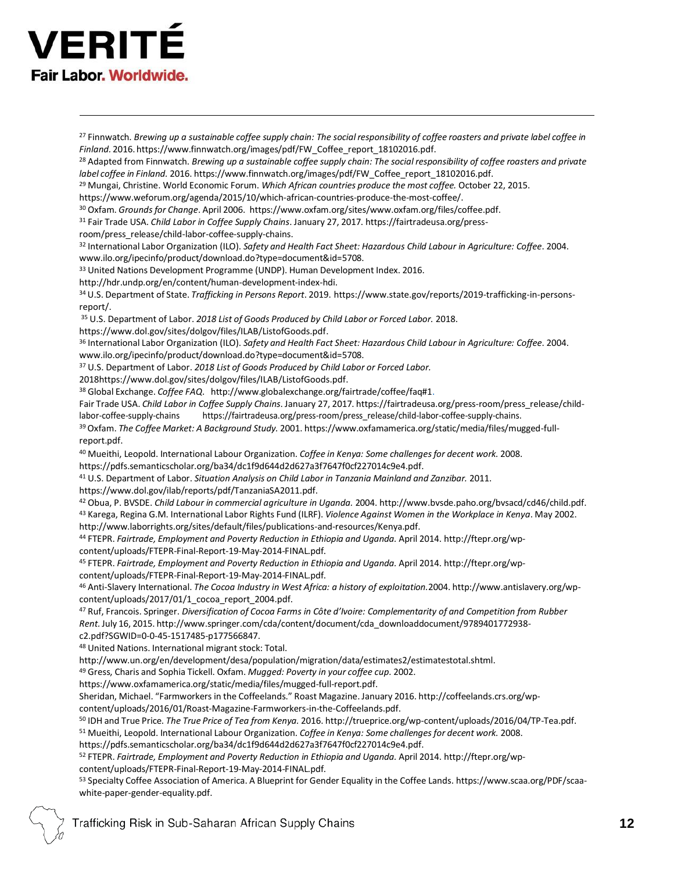# **VERITI** Fair Labor, Worldwide.

<span id="page-11-14"></span><span id="page-11-13"></span><span id="page-11-12"></span><span id="page-11-11"></span><span id="page-11-10"></span><span id="page-11-9"></span><span id="page-11-8"></span><span id="page-11-7"></span><span id="page-11-6"></span><span id="page-11-5"></span><span id="page-11-4"></span><span id="page-11-3"></span><span id="page-11-2"></span><span id="page-11-1"></span><span id="page-11-0"></span><sup>27</sup> Finnwatch. *Brewing up a sustainable coffee supply chain: The socialresponsibility of coffee roasters and private label coffee in Finland.* 2016. https:/[/www.finnwatch.org/images/pdf/FW\\_Coffee\\_report\\_18102016.pdf.](http://www.finnwatch.org/images/pdf/FW_Coffee_report_18102016.pdf) <sup>28</sup> Adapted from Finnwatch. *Brewing up a sustainable coffee supply chain: The social responsibility of coffee roasters and private label coffee in Finland.* 2016. https:/[/www.finnwatch.org/images/pdf/FW\\_Coffee\\_report\\_18102016.pdf.](http://www.finnwatch.org/images/pdf/FW_Coffee_report_18102016.pdf) <sup>29</sup> Mungai, Christine. World Economic Forum. *Which African countries produce the most coffee.* October 22, 2015. https:/[/www.weforum.org/agenda/2015/10/which-african-countries-produce-the-most-coffee/.](http://www.weforum.org/agenda/2015/10/which-african-countries-produce-the-most-coffee/) <sup>30</sup> Oxfam. *Grounds for Change*. April 2006. https[://www.oxfam.org/sites/www.oxfam.org/files/coffee.pdf.](http://www.oxfam.org/sites/www.oxfam.org/files/coffee.pdf) <sup>31</sup> Fair Trade USA. *Child Labor in Coffee Supply Chains*. January 27, 2017. https://fairtradeusa.org/pressroom/press\_release/child-labor-coffee-supply-chains. <sup>32</sup> International Labor Organization (ILO). *Safety and Health Fact Sheet: Hazardous Child Labour in Agriculture: Coffee*. 2004. [www.ilo.org/ipecinfo/product/download.do?type=document&id=5708.](http://www.ilo.org/ipecinfo/product/download.do?type=document&id=5708) <sup>33</sup> United Nations Development Programme (UNDP). Human Development Index. 2016. [http://hdr.undp.org/en/content/human-development-index-hdi.](http://hdr.undp.org/en/content/human-development-index-hdi) <sup>34</sup> U.S. Department of State. *Trafficking in Persons Report*. 2019. https://www.state.gov/reports/2019-trafficking-in-personsreport/. <sup>35</sup> U.S. Department of Labor. *2018 List of Goods Produced by Child Labor or Forced Labor.* 2018. https://www.dol.gov/sites/dolgov/files/ILAB/ListofGoods.pdf. <sup>36</sup> International Labor Organization (ILO). *Safety and Health Fact Sheet: Hazardous Child Labour in Agriculture: Coffee*. 2004. www.ilo.org/ipecinfo/product/download.do?type=document&id=5708. <sup>37</sup> U.S. Department of Labor. *2018 List of Goods Produced by Child Labor or Forced Labor.*  2018https://www.dol.gov/sites/dolgov/files/ILAB/ListofGoods.pdf. <sup>38</sup> Global Exchange. *Coffee FAQ*. [http://www.globalexchange.org/fairtrade/coffee/faq#1.](http://www.globalexchange.org/fairtrade/coffee/faq#1) Fair Trade USA. *Child Labor in Coffee Supply Chains*. January 27, 2017. https://fairtradeusa.org/press-room/press\_release/childlabor-coffee-supply-chains https://fairtradeusa.org/press-room/press\_release/child-labor-coffee-supply-chains. <sup>39</sup>Oxfam. *The Coffee Market: A Background Study.* 2001. http[s://www.oxfamamerica.org/static/media/files/mugged-full](http://www.oxfamamerica.org/static/media/files/mugged-full-)report.pdf. <sup>40</sup> Mueithi, Leopold. International Labour Organization. *Coffee in Kenya: Some challenges for decent work.* 2008. https://pdfs.semanticscholar.org/ba34/dc1f9d644d2d627a3f7647f0cf227014c9e4.pdf. <sup>41</sup> U.S. Department of Labor. *Situation Analysis on Child Labor in Tanzania Mainland and Zanzibar.* 2011. https:/[/www.dol.gov/ilab/reports/pdf/TanzaniaSA2011.pdf.](http://www.dol.gov/ilab/reports/pdf/TanzaniaSA2011.pdf) <sup>42</sup> Obua, P. BVSDE. *Child Labour in commercial agriculture in Uganda.* 2004. [http://www.bvsde.paho.org/bvsacd/cd46/child.pdf.](http://www.bvsde.paho.org/bvsacd/cd46/child.pdf)  <sup>43</sup> Karega, Regina G.M. International Labor Rights Fund (ILRF). *Violence Against Women in the Workplace in Kenya*. May 2002. [http://www.laborrights.org/sites/default/files/publications-and-resources/Kenya.pdf.](http://www.laborrights.org/sites/default/files/publications-and-resources/Kenya.pdf) <sup>44</sup> FTEPR. *Fairtrade, Employment and Poverty Reduction in Ethiopia and Uganda.* April 2014. [http://ftepr.org/wp](http://ftepr.org/wp-)content/uploads/FTEPR-Final-Report-19-May-2014-FINAL.pdf. <sup>45</sup> FTEPR. *Fairtrade, Employment and Poverty Reduction in Ethiopia and Uganda.* April 2014. [http://ftepr.org/wp](http://ftepr.org/wp-)content/uploads/FTEPR-Final-Report-19-May-2014-FINAL.pdf. <sup>46</sup> Anti-Slavery International. *The Cocoa Industry in West Africa: a history of exploitation.*2004. [http://www.antislavery.org/wp](http://www.antislavery.org/wp-)content/uploads/2017/01/1\_cocoa\_report\_2004.pdf. <sup>47</sup> Ruf, Francois. Springer. *Diversification of Cocoa Farms in Côte d'Ivoire: Complementarity of and Competition from Rubber Rent.*July 16, 2015. [http://www.springer.com/cda/content/document/cda\\_downloaddocument/9789401772938](http://www.springer.com/cda/content/document/cda_downloaddocument/9789401772938-) c2.pdf?SGWID=0-0-45-1517485-p177566847. <sup>48</sup> United Nations. International migrant stock: Total. [http://www.un.org/en/development/desa/population/migration/data/estimates2/estimatestotal.shtml.](http://www.un.org/en/development/desa/population/migration/data/estimates2/estimatestotal.shtml)  <sup>49</sup> Gress, Charis and Sophia Tickell. Oxfam. *Mugged: Poverty in your coffee cup.* 2002. http[s://www.oxfamamerica.org/static/media/files/mugged-full-report.pdf.](http://www.oxfamamerica.org/static/media/files/mugged-full-report.pdf) Sheridan, Michael. "Farmworkers in the Coffeelands." Roast Magazine. January 2016. [http://coffeelands.crs.org/wp](http://coffeelands.crs.org/wp-)content/uploads/2016/01/Roast-Magazine-Farmworkers-in-the-Coffeelands.pdf. <sup>50</sup> IDH and True Price. *The True Price of Tea from Kenya.* 2016. [http://trueprice.org/wp-content/uploads/2016/04/TP-Tea.pdf.](http://trueprice.org/wp-content/uploads/2016/04/TP-Tea.pdf)  <sup>51</sup> Mueithi, Leopold. International Labour Organization. *Coffee in Kenya: Some challenges for decent work.* 2008. https://pdfs.semanticscholar.org/ba34/dc1f9d644d2d627a3f7647f0cf227014c9e4.pdf. <sup>52</sup> FTEPR. *Fairtrade, Employment and Poverty Reduction in Ethiopia and Uganda.* April 2014. [http://ftepr.org/wp](http://ftepr.org/wp-)content/uploads/FTEPR-Final-Report-19-May-2014-FINAL.pdf.

<span id="page-11-25"></span><span id="page-11-24"></span><span id="page-11-23"></span><span id="page-11-22"></span><span id="page-11-21"></span><span id="page-11-20"></span><span id="page-11-19"></span><span id="page-11-18"></span><span id="page-11-17"></span><span id="page-11-16"></span><span id="page-11-15"></span><sup>53</sup> Specialty Coffee Association of America. A Blueprint for Gender Equality in the Coffee Lands. https:/[/www.scaa.org/PDF/scaa](http://www.scaa.org/PDF/scaa-)white-paper-gender-equality.pdf.